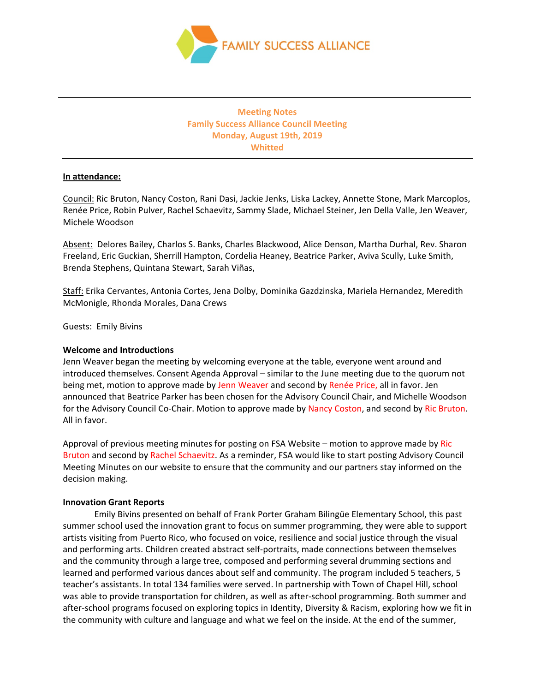

# **Meeting Notes Family Success Alliance Council Meeting Monday, August 19th, 2019 Whitted**

## **In attendance:**

Council: Ric Bruton, Nancy Coston, Rani Dasi, Jackie Jenks, Liska Lackey, Annette Stone, Mark Marcoplos, Renée Price, Robin Pulver, Rachel Schaevitz, Sammy Slade, Michael Steiner, Jen Della Valle, Jen Weaver, Michele Woodson

Absent: Delores Bailey, Charlos S. Banks, Charles Blackwood, Alice Denson, Martha Durhal, Rev. Sharon Freeland, Eric Guckian, Sherrill Hampton, Cordelia Heaney, Beatrice Parker, Aviva Scully, Luke Smith, Brenda Stephens, Quintana Stewart, Sarah Viñas,

Staff: Erika Cervantes, Antonia Cortes, Jena Dolby, Dominika Gazdzinska, Mariela Hernandez, Meredith McMonigle, Rhonda Morales, Dana Crews

Guests: Emily Bivins

#### **Welcome and Introductions**

Jenn Weaver began the meeting by welcoming everyone at the table, everyone went around and introduced themselves. Consent Agenda Approval – similar to the June meeting due to the quorum not being met, motion to approve made by Jenn Weaver and second by Renée Price, all in favor. Jen announced that Beatrice Parker has been chosen for the Advisory Council Chair, and Michelle Woodson for the Advisory Council Co-Chair. Motion to approve made by Nancy Coston, and second by Ric Bruton. All in favor.

Approval of previous meeting minutes for posting on FSA Website – motion to approve made by Ric Bruton and second by Rachel Schaevitz. As a reminder, FSA would like to start posting Advisory Council Meeting Minutes on our website to ensure that the community and our partners stay informed on the decision making.

#### **Innovation Grant Reports**

Emily Bivins presented on behalf of Frank Porter Graham Bilingüe Elementary School, this past summer school used the innovation grant to focus on summer programming, they were able to support artists visiting from Puerto Rico, who focused on voice, resilience and social justice through the visual and performing arts. Children created abstract self-portraits, made connections between themselves and the community through a large tree, composed and performing several drumming sections and learned and performed various dances about self and community. The program included 5 teachers, 5 teacher's assistants. In total 134 families were served. In partnership with Town of Chapel Hill, school was able to provide transportation for children, as well as after-school programming. Both summer and after-school programs focused on exploring topics in Identity, Diversity & Racism, exploring how we fit in the community with culture and language and what we feel on the inside. At the end of the summer,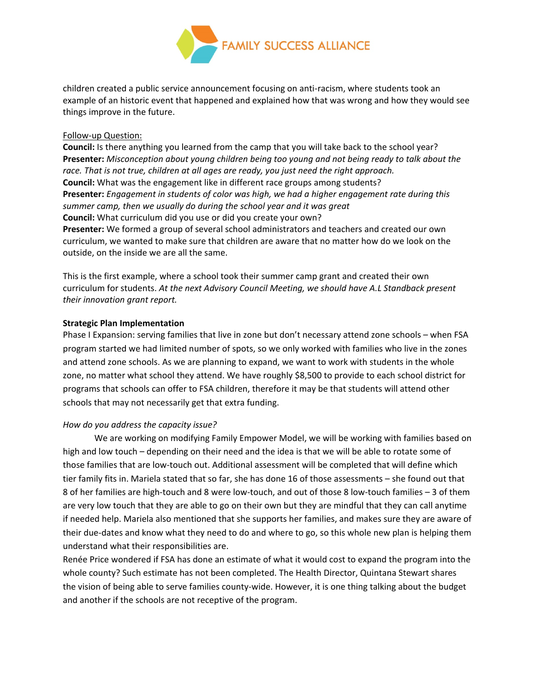

children created a public service announcement focusing on anti-racism, where students took an example of an historic event that happened and explained how that was wrong and how they would see things improve in the future.

#### Follow-up Question:

**Council:** Is there anything you learned from the camp that you will take back to the school year? **Presenter:** *Misconception about young children being too young and not being ready to talk about the race. That is not true, children at all ages are ready, you just need the right approach.* **Council:** What was the engagement like in different race groups among students? **Presenter:** *Engagement in students of color was high, we had a higher engagement rate during this summer camp, then we usually do during the school year and it was great* **Council:** What curriculum did you use or did you create your own? **Presenter:** We formed a group of several school administrators and teachers and created our own curriculum, we wanted to make sure that children are aware that no matter how do we look on the outside, on the inside we are all the same.

This is the first example, where a school took their summer camp grant and created their own curriculum for students. *At the next Advisory Council Meeting, we should have A.L Standback present their innovation grant report.*

## **Strategic Plan Implementation**

Phase I Expansion: serving families that live in zone but don't necessary attend zone schools – when FSA program started we had limited number of spots, so we only worked with families who live in the zones and attend zone schools. As we are planning to expand, we want to work with students in the whole zone, no matter what school they attend. We have roughly \$8,500 to provide to each school district for programs that schools can offer to FSA children, therefore it may be that students will attend other schools that may not necessarily get that extra funding.

# *How do you address the capacity issue?*

We are working on modifying Family Empower Model, we will be working with families based on high and low touch – depending on their need and the idea is that we will be able to rotate some of those families that are low-touch out. Additional assessment will be completed that will define which tier family fits in. Mariela stated that so far, she has done 16 of those assessments – she found out that 8 of her families are high-touch and 8 were low-touch, and out of those 8 low-touch families – 3 of them are very low touch that they are able to go on their own but they are mindful that they can call anytime if needed help. Mariela also mentioned that she supports her families, and makes sure they are aware of their due-dates and know what they need to do and where to go, so this whole new plan is helping them understand what their responsibilities are.

Renée Price wondered if FSA has done an estimate of what it would cost to expand the program into the whole county? Such estimate has not been completed. The Health Director, Quintana Stewart shares the vision of being able to serve families county-wide. However, it is one thing talking about the budget and another if the schools are not receptive of the program.